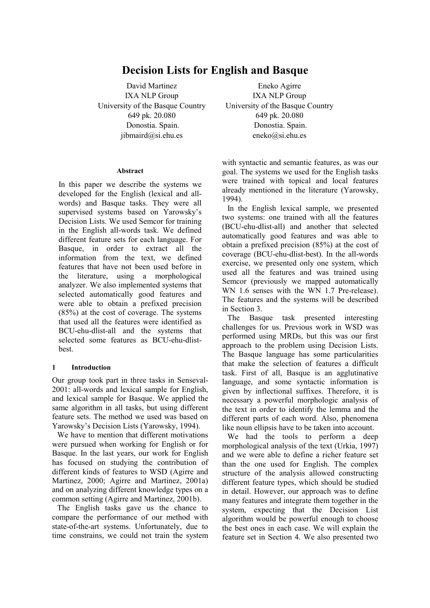# **Decision Lists for English and Basque**

David Martinez IXA NLP Group University of the Basque Country 649 pk. 20.080 Donostia. Spain. jibmaird@si.ehu.es

#### **Abstract**

In this paper we describe the systems we developed for the English (lexical and allwords) and Basque tasks. They were all supervised systems based on Yarowsky's Decision Lists. We used Semcor for training in the English all-words task. We defined different feature sets for each language. For Basque, in order to extract all the information from the text, we defined features that have not been used before in the literature, using a morphological analyzer. We also implemented systems that selected automatically good features and were able to obtain a prefixed precision (85%) at the cost of coverage. The systems that used all the features were identified as BCU-ehu-dlist-all and the systems that selected some features as BCU-ehu-dlistbest.

#### **1 Introduction**

Our group took part in three tasks in Senseval-2001: all-words and lexical sample for English, and lexical sample for Basque. We applied the same algorithm in all tasks, but using different feature sets. The method we used was based on Yarowsky's Decision Lists (Yarowsky, 1994).

 We have to mention that different motivations were pursued when working for English or for Basque. In the last years, our work for English has focused on studying the contribution of different kinds of features to WSD (Agirre and Martinez, 2000; Agirre and Martinez, 2001a) and on analyzing different knowledge types on a common setting (Agirre and Martinez, 2001b).

 The English tasks gave us the chance to compare the performance of our method with state-of-the-art systems. Unfortunately, due to time constrains, we could not train the system

Eneko Agirre IXA NLP Group University of the Basque Country 649 pk. 20.080 Donostia. Spain. eneko@si.ehu.es

with syntactic and semantic features, as was our goal. The systems we used for the English tasks were trained with topical and local features already mentioned in the literature (Yarowsky, 1994).

 In the English lexical sample, we presented two systems: one trained with all the features (BCU-ehu-dlist-all) and another that selected automatically good features and was able to obtain a prefixed precision (85%) at the cost of coverage (BCU-ehu-dlist-best). In the all-words exercise, we presented only one system, which used all the features and was trained using Semcor (previously we mapped automatically WN 1.6 senses with the WN 1.7 Pre-release). The features and the systems will be described in Section 3.

 The Basque task presented interesting challenges for us. Previous work in WSD was performed using MRDs, but this was our first approach to the problem using Decision Lists. The Basque language has some particularities that make the selection of features a difficult task. First of all, Basque is an agglutinative language, and some syntactic information is given by inflectional suffixes. Therefore, it is necessary a powerful morphologic analysis of the text in order to identify the lemma and the different parts of each word. Also, phenomena like noun ellipsis have to be taken into account.

 We had the tools to perform a deep morphological analysis of the text (Urkia, 1997) and we were able to define a richer feature set than the one used for English. The complex structure of the analysis allowed constructing different feature types, which should be studied in detail. However, our approach was to define many features and integrate them together in the system, expecting that the Decision List algorithm would be powerful enough to choose the best ones in each case. We will explain the feature set in Section 4. We also presented two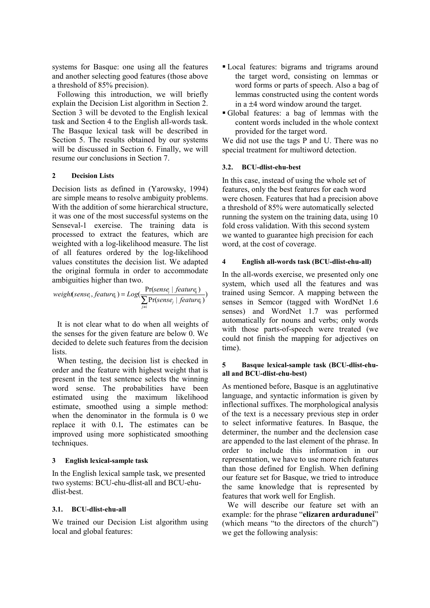systems for Basque: one using all the features and another selecting good features (those above a threshold of 85% precision).

 Following this introduction, we will briefly explain the Decision List algorithm in Section 2. Section 3 will be devoted to the English lexical task and Section 4 to the English all-words task. The Basque lexical task will be described in Section 5. The results obtained by our systems will be discussed in Section 6. Finally, we will resume our conclusions in Section 7.

## **2 Decision Lists**

Decision lists as defined in (Yarowsky, 1994) are simple means to resolve ambiguity problems. With the addition of some hierarchical structure, it was one of the most successful systems on the Senseval-1 exercise. The training data is processed to extract the features, which are weighted with a log-likelihood measure. The list of all features ordered by the log-likelihood values constitutes the decision list. We adapted the original formula in order to accommodate ambiguities higher than two.

$$
weight(sense_i, feature_k) = Log(\frac{Pr(sense_i \mid feature_k)}{\sum_{j \neq i} Pr(sense_j \mid feature_k)})
$$

 It is not clear what to do when all weights of the senses for the given feature are below 0. We decided to delete such features from the decision lists.

 When testing, the decision list is checked in order and the feature with highest weight that is present in the test sentence selects the winning word sense. The probabilities have been estimated using the maximum likelihood estimate, smoothed using a simple method: when the denominator in the formula is 0 we replace it with 0.1*.* The estimates can be improved using more sophisticated smoothing techniques.

# **3 English lexical-sample task**

In the English lexical sample task, we presented two systems: BCU-ehu-dlist-all and BCU-ehudlist-best.

#### **3.1. BCU-dlist-ehu-all**

We trained our Decision List algorithm using local and global features:

- Local features: bigrams and trigrams around the target word, consisting on lemmas or word forms or parts of speech. Also a bag of lemmas constructed using the content words in a ±4 word window around the target.
- Global features: a bag of lemmas with the content words included in the whole context provided for the target word.

We did not use the tags P and U. There was no special treatment for multiword detection.

#### **3.2. BCU-dlist-ehu-best**

In this case, instead of using the whole set of features, only the best features for each word were chosen. Features that had a precision above a threshold of 85% were automatically selected running the system on the training data, using 10 fold cross validation. With this second system we wanted to guarantee high precision for each word, at the cost of coverage.

## **4 English all-words task (BCU-dlist-ehu-all)**

In the all-words exercise, we presented only one system, which used all the features and was trained using Semcor. A mapping between the senses in Semcor (tagged with WordNet 1.6 senses) and WordNet 1.7 was performed automatically for nouns and verbs; only words with those parts-of-speech were treated (we could not finish the mapping for adjectives on time).

#### **5 Basque lexical-sample task (BCU-dlist-ehuall and BCU-dlist-ehu-best)**

As mentioned before, Basque is an agglutinative language, and syntactic information is given by inflectional suffixes. The morphological analysis of the text is a necessary previous step in order to select informative features. In Basque, the determiner, the number and the declension case are appended to the last element of the phrase. In order to include this information in our representation, we have to use more rich features than those defined for English. When defining our feature set for Basque, we tried to introduce the same knowledge that is represented by features that work well for English.

 We will describe our feature set with an example: for the phrase "**elizaren arduradunei**" (which means "to the directors of the church") we get the following analysis: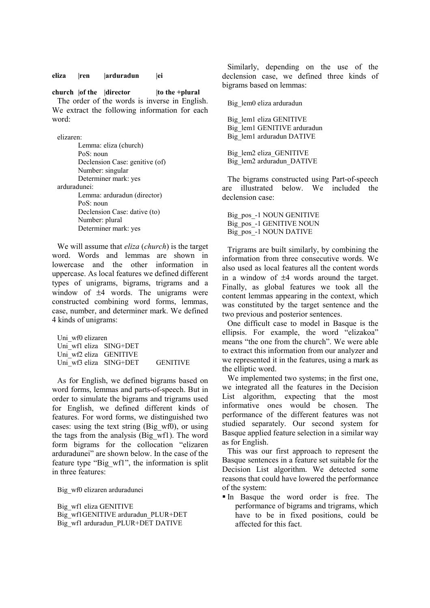**eliza |ren |arduradun |ei** 

**church**  $|$ of the  $|$ director  $|$  to the +plural The order of the words is inverse in English. We extract the following information for each word:

elizaren:

 Lemma: eliza (church) PoS: noun Declension Case: genitive (of) Number: singular Determiner mark: yes arduradunei: Lemma: arduradun (director) PoS: noun Declension Case: dative (to) Number: plural Determiner mark: yes

 We will assume that *eliza* (*church*) is the target word. Words and lemmas are shown in lowercase and the other information in uppercase. As local features we defined different types of unigrams, bigrams, trigrams and a window of  $\pm 4$  words. The unigrams were constructed combining word forms, lemmas, case, number, and determiner mark. We defined 4 kinds of unigrams:

Uni\_wf0 elizaren Uni\_wf1 eliza SING+DET Uni\_wf2 eliza GENITIVE Uni\_wf3 eliza SING+DET GENITIVE

 As for English, we defined bigrams based on word forms, lemmas and parts-of-speech. But in order to simulate the bigrams and trigrams used for English, we defined different kinds of features. For word forms, we distinguished two cases: using the text string (Big\_wf0), or using the tags from the analysis (Big\_wf1). The word form bigrams for the collocation "elizaren arduradunei" are shown below. In the case of the feature type "Big\_wf1", the information is split in three features:

Big\_wf0 elizaren arduradunei

Big\_wf1 eliza GENITIVE Big\_wf1GENITIVE arduradun\_PLUR+DET Big\_wf1 arduradun\_PLUR+DET DATIVE

 Similarly, depending on the use of the declension case, we defined three kinds of bigrams based on lemmas:

Big\_lem0 eliza arduradun

 Big\_lem1 eliza GENITIVE Big\_lem1 GENITIVE arduradun Big\_lem1 arduradun DATIVE

Big\_lem2 eliza\_GENITIVE Big\_lem2 arduradun\_DATIVE

 The bigrams constructed using Part-of-speech are illustrated below. We included the declension case:

Big\_pos\_-1 NOUN GENITIVE Big\_pos\_-1 GENITIVE NOUN Big\_pos\_-1 NOUN DATIVE

 Trigrams are built similarly, by combining the information from three consecutive words. We also used as local features all the content words in a window of ±4 words around the target. Finally, as global features we took all the content lemmas appearing in the context, which was constituted by the target sentence and the two previous and posterior sentences.

 One difficult case to model in Basque is the ellipsis. For example, the word "elizakoa" means "the one from the church". We were able to extract this information from our analyzer and we represented it in the features, using a mark as the elliptic word.

 We implemented two systems; in the first one, we integrated all the features in the Decision List algorithm, expecting that the most informative ones would be chosen. The performance of the different features was not studied separately. Our second system for Basque applied feature selection in a similar way as for English.

 This was our first approach to represent the Basque sentences in a feature set suitable for the Decision List algorithm. We detected some reasons that could have lowered the performance of the system:

 In Basque the word order is free. The performance of bigrams and trigrams, which have to be in fixed positions, could be affected for this fact.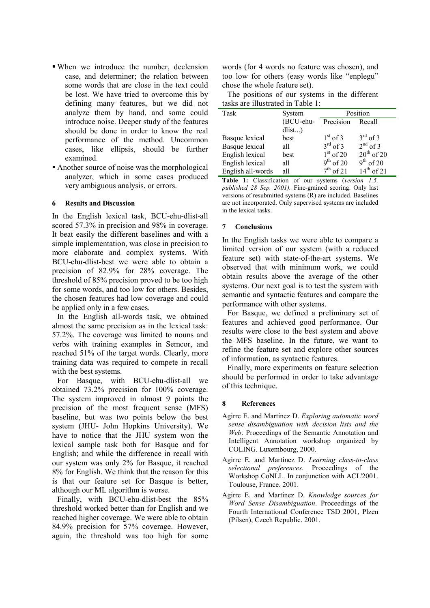- When we introduce the number, declension case, and determiner; the relation between some words that are close in the text could be lost. We have tried to overcome this by defining many features, but we did not analyze them by hand, and some could introduce noise. Deeper study of the features should be done in order to know the real performance of the method. Uncommon cases, like ellipsis, should be further examined.
- Another source of noise was the morphological analyzer, which in some cases produced very ambiguous analysis, or errors.

#### **6 Results and Discussion**

In the English lexical task, BCU-ehu-dlist-all scored 57.3% in precision and 98% in coverage. It beat easily the different baselines and with a simple implementation, was close in precision to more elaborate and complex systems. With BCU-ehu-dlist-best we were able to obtain a precision of 82.9% for 28% coverage. The threshold of 85% precision proved to be too high for some words, and too low for others. Besides, the chosen features had low coverage and could be applied only in a few cases.

 In the English all-words task, we obtained almost the same precision as in the lexical task: 57.2%. The coverage was limited to nouns and verbs with training examples in Semcor, and reached 51% of the target words. Clearly, more training data was required to compete in recall with the best systems.

 For Basque, with BCU-ehu-dlist-all we obtained 73.2% precision for 100% coverage. The system improved in almost 9 points the precision of the most frequent sense (MFS) baseline, but was two points below the best system (JHU- John Hopkins University). We have to notice that the JHU system won the lexical sample task both for Basque and for English; and while the difference in recall with our system was only 2% for Basque, it reached 8% for English. We think that the reason for this is that our feature set for Basque is better, although our ML algorithm is worse.

 Finally, with BCU-ehu-dlist-best the 85% threshold worked better than for English and we reached higher coverage. We were able to obtain 84.9% precision for 57% coverage. However, again, the threshold was too high for some words (for 4 words no feature was chosen), and too low for others (easy words like "enplegu" chose the whole feature set).

 The positions of our systems in the different tasks are illustrated in Table 1:

| Task                  | System    | Position             |                      |
|-----------------------|-----------|----------------------|----------------------|
|                       | (BCU-ehu- | Precision            | Recall               |
|                       | dlist     |                      |                      |
| Basque lexical        | best      | $1st$ of 3           | $3^{\text{rd}}$ of 3 |
| <b>Basque</b> lexical | all       | $3^{\text{rd}}$ of 3 | $2^{nd}$ of 3        |
| English lexical       | best      | $1st$ of 20          | $20^{th}$ of 20      |
| English lexical       | all       | $9^{th}$ of 20       | $9th$ of 20          |
| English all-words     | all       | $7th$ of 21          | $14^{th}$ of 21      |

**Table 1:** Classification of our systems (*version 1.5, published 28 Sep. 2001).* Fine-grained scoring. Only last versions of resubmitted systems (R) are included. Baselines are not incorporated. Only supervised systems are included in the lexical tasks.

## **7 Conclusions**

In the English tasks we were able to compare a limited version of our system (with a reduced feature set) with state-of-the-art systems. We observed that with minimum work, we could obtain results above the average of the other systems. Our next goal is to test the system with semantic and syntactic features and compare the performance with other systems.

 For Basque, we defined a preliminary set of features and achieved good performance. Our results were close to the best system and above the MFS baseline. In the future, we want to refine the feature set and explore other sources of information, as syntactic features.

 Finally, more experiments on feature selection should be performed in order to take advantage of this technique.

# **8 References**

- Agirre E. and Martínez D. *Exploring automatic word sense disambiguation with decision lists and the Web*. Proceedings of the Semantic Annotation and Intelligent Annotation workshop organized by COLING. Luxembourg, 2000.
- Agirre E. and Martínez D. *Learning class-to-class selectional preferences.* Proceedings of the Workshop CoNLL. In conjunction with ACL'2001. Toulouse, France. 2001.
- Agirre E. and Martinez D. *Knowledge sources for Word Sense Disambiguation*. Proceedings of the Fourth International Conference TSD 2001, Plzen (Pilsen), Czech Republic. 2001.